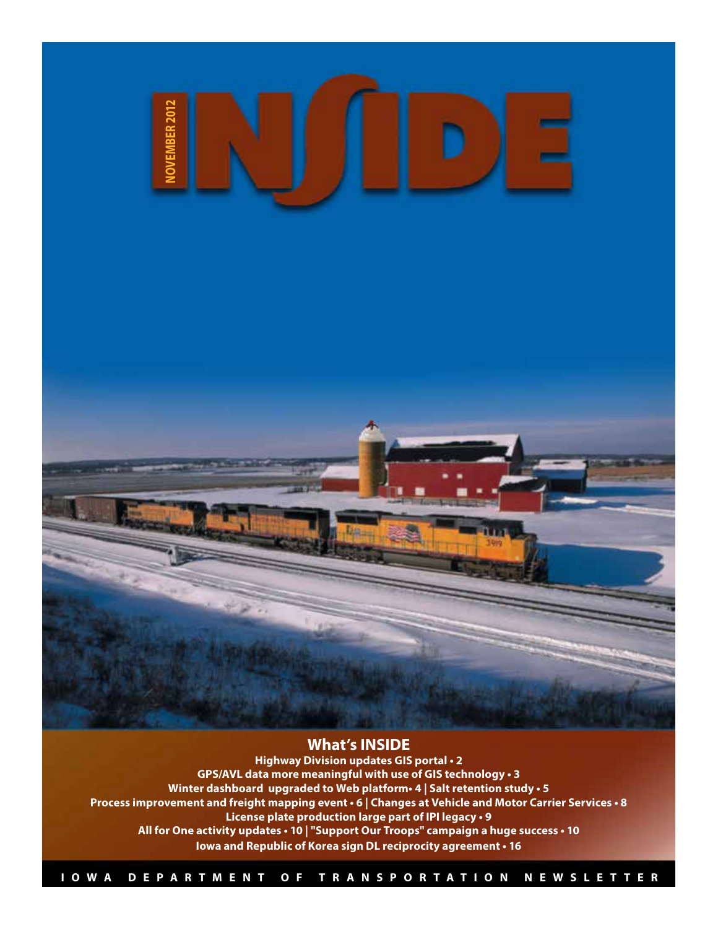

#### **What's INSIDE**

**Highway Division updates GIS portal • 2 GPS/AVL data more meaningful with use of GIS technology • 3 Winter dashboard upgraded to Web platform• 4 | Salt retention study • 5 Process improvement and freight mapping event • 6 | Changes at Vehicle and Motor Carrier Services • 8 License plate production large part of IPI legacy • 9 All for One activity updates • 10 | "Support Our Troops" campaign a huge success • 10 Iowa and Republic of Korea sign DL reciprocity agreement • 16**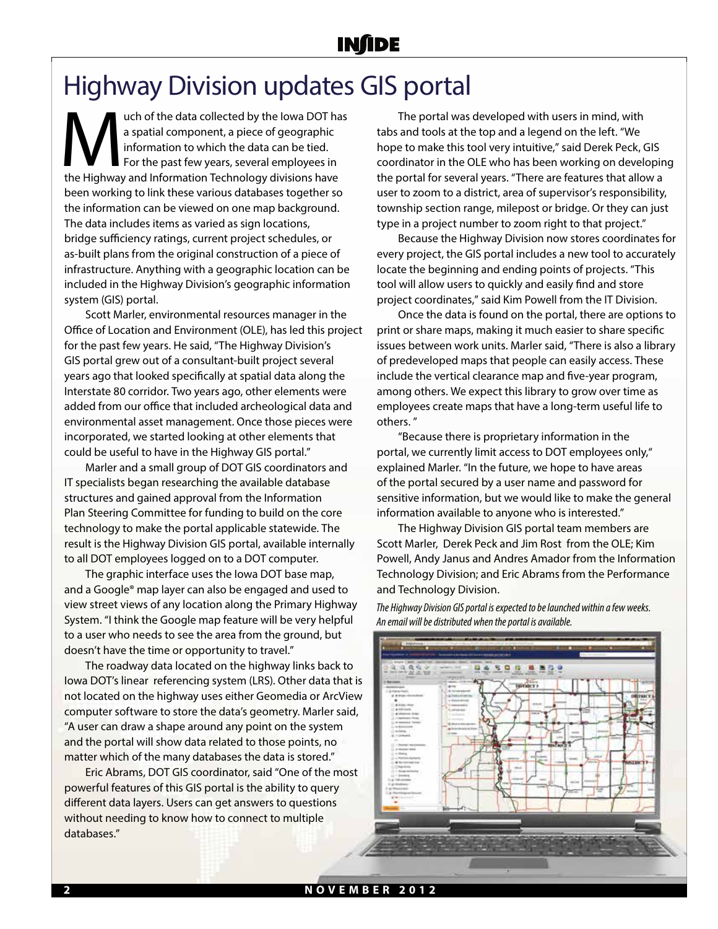## Highway Division updates GIS portal

**the data collected by the Iowa DOT has**<br> **a** spatial component, a piece of geographic<br>
information to which the data can be tied.<br>
For the past few years, several employees in<br>
the Highway and Information Technology divis a spatial component, a piece of geographic information to which the data can be tied. For the past few years, several employees in been working to link these various databases together so the information can be viewed on one map background. The data includes items as varied as sign locations, bridge sufficiency ratings, current project schedules, or as-built plans from the original construction of a piece of infrastructure. Anything with a geographic location can be included in the Highway Division's geographic information system (GIS) portal.

Scott Marler, environmental resources manager in the Office of Location and Environment (OLE), has led this project for the past few years. He said, "The Highway Division's GIS portal grew out of a consultant-built project several years ago that looked specifically at spatial data along the Interstate 80 corridor. Two years ago, other elements were added from our office that included archeological data and environmental asset management. Once those pieces were incorporated, we started looking at other elements that could be useful to have in the Highway GIS portal."

Marler and a small group of DOT GIS coordinators and IT specialists began researching the available database structures and gained approval from the Information Plan Steering Committee for funding to build on the core technology to make the portal applicable statewide. The result is the Highway Division GIS portal, available internally to all DOT employees logged on to a DOT computer.

The graphic interface uses the Iowa DOT base map, and a Google® map layer can also be engaged and used to view street views of any location along the Primary Highway System. "I think the Google map feature will be very helpful to a user who needs to see the area from the ground, but doesn't have the time or opportunity to travel."

The roadway data located on the highway links back to Iowa DOT's linear referencing system (LRS). Other data that is not located on the highway uses either Geomedia or ArcView computer software to store the data's geometry. Marler said, "A user can draw a shape around any point on the system and the portal will show data related to those points, no matter which of the many databases the data is stored."

Eric Abrams, DOT GIS coordinator, said "One of the most powerful features of this GIS portal is the ability to query different data layers. Users can get answers to questions without needing to know how to connect to multiple databases."

The portal was developed with users in mind, with tabs and tools at the top and a legend on the left. "We hope to make this tool very intuitive," said Derek Peck, GIS coordinator in the OLE who has been working on developing the portal for several years. "There are features that allow a user to zoom to a district, area of supervisor's responsibility, township section range, milepost or bridge. Or they can just type in a project number to zoom right to that project."

Because the Highway Division now stores coordinates for every project, the GIS portal includes a new tool to accurately locate the beginning and ending points of projects. "This tool will allow users to quickly and easily find and store project coordinates," said Kim Powell from the IT Division.

Once the data is found on the portal, there are options to print or share maps, making it much easier to share specific issues between work units. Marler said, "There is also a library of predeveloped maps that people can easily access. These include the vertical clearance map and five-year program, among others. We expect this library to grow over time as employees create maps that have a long-term useful life to others. "

"Because there is proprietary information in the portal, we currently limit access to DOT employees only," explained Marler. "In the future, we hope to have areas of the portal secured by a user name and password for sensitive information, but we would like to make the general information available to anyone who is interested."

The Highway Division GIS portal team members are Scott Marler, Derek Peck and Jim Rost from the OLE; Kim Powell, Andy Janus and Andres Amador from the Information Technology Division; and Eric Abrams from the Performance and Technology Division.

*The Highway Division GIS portal is expected to be launched within a few weeks. An email will be distributed when the portal is available.* 

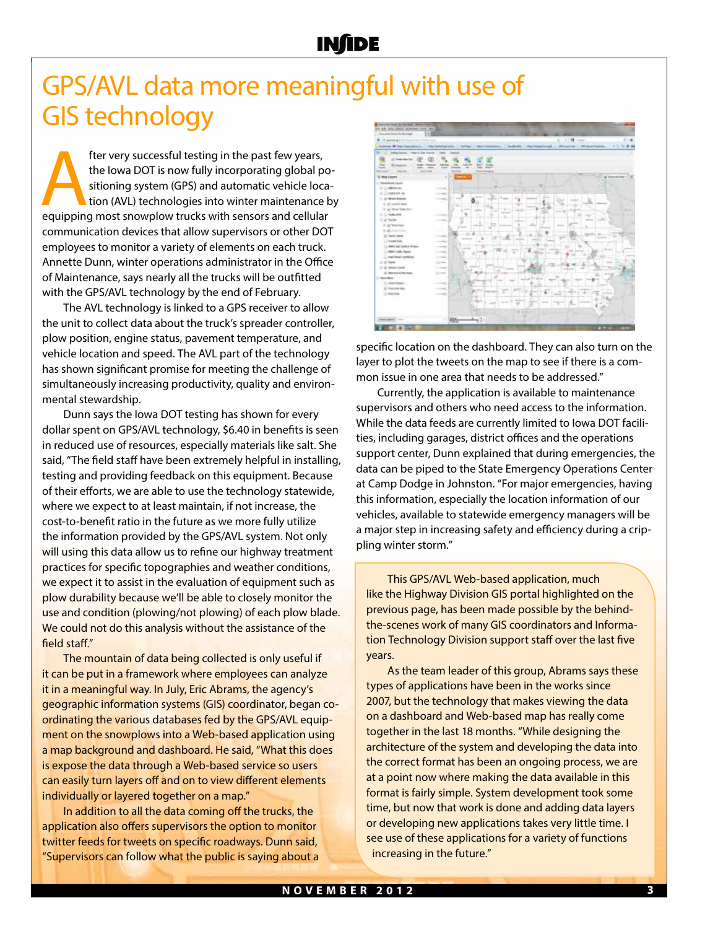# GPS/AVL data more meaningful with use of GIS technology

fter very successful testing in the past few years,<br>
the lowa DOT is now fully incorporating global po<br>
sitioning system (GPS) and automatic vehicle loca<br>
tion (AVL) technologies into winter maintenance k<br>
equipping most s the Iowa DOT is now fully incorporating global positioning system (GPS) and automatic vehicle location (AVL) technologies into winter maintenance by communication devices that allow supervisors or other DOT employees to monitor a variety of elements on each truck. Annette Dunn, winter operations administrator in the Office of Maintenance, says nearly all the trucks will be outfitted with the GPS/AVL technology by the end of February.

The AVL technology is linked to a GPS receiver to allow the unit to collect data about the truck's spreader controller, plow position, engine status, pavement temperature, and vehicle location and speed. The AVL part of the technology has shown significant promise for meeting the challenge of simultaneously increasing productivity, quality and environmental stewardship.

Dunn says the Iowa DOT testing has shown for every dollar spent on GPS/AVL technology, \$6.40 in benefits is seen in reduced use of resources, especially materials like salt. She said, "The field staff have been extremely helpful in installing, testing and providing feedback on this equipment. Because of their efforts, we are able to use the technology statewide, where we expect to at least maintain, if not increase, the cost-to-benefit ratio in the future as we more fully utilize the information provided by the GPS/AVL system. Not only will using this data allow us to refine our highway treatment practices for specific topographies and weather conditions, we expect it to assist in the evaluation of equipment such as plow durability because we'll be able to closely monitor the use and condition (plowing/not plowing) of each plow blade. We could not do this analysis without the assistance of the field staff."

The mountain of data being collected is only useful if it can be put in a framework where employees can analyze it in a meaningful way. In July, Eric Abrams, the agency's geographic information systems (GIS) coordinator, began coordinating the various databases fed by the GPS/AVL equipment on the snowplows into a Web-based application using a map background and dashboard. He said, "What this does is expose the data through a Web-based service so users can easily turn layers off and on to view different elements individually or layered together on a map."

In addition to all the data coming off the trucks, the application also offers supervisors the option to monitor twitter feeds for tweets on specific roadways. Dunn said, "Supervisors can follow what the public is saying about a



specific location on the dashboard. They can also turn on the layer to plot the tweets on the map to see if there is a common issue in one area that needs to be addressed."

Currently, the application is available to maintenance supervisors and others who need access to the information. While the data feeds are currently limited to Iowa DOT facilities, including garages, district offices and the operations support center, Dunn explained that during emergencies, the data can be piped to the State Emergency Operations Center at Camp Dodge in Johnston. "For major emergencies, having this information, especially the location information of our vehicles, available to statewide emergency managers will be a major step in increasing safety and efficiency during a crippling winter storm."

This GPS/AVL Web-based application, much like the Highway Division GIS portal highlighted on the previous page, has been made possible by the behindthe-scenes work of many GIS coordinators and Information Technology Division support staff over the last five years.

As the team leader of this group, Abrams says these types of applications have been in the works since 2007, but the technology that makes viewing the data on a dashboard and Web-based map has really come together in the last 18 months. "While designing the architecture of the system and developing the data into the correct format has been an ongoing process, we are at a point now where making the data available in this format is fairly simple. System development took some time, but now that work is done and adding data layers or developing new applications takes very little time. I see use of these applications for a variety of functions increasing in the future."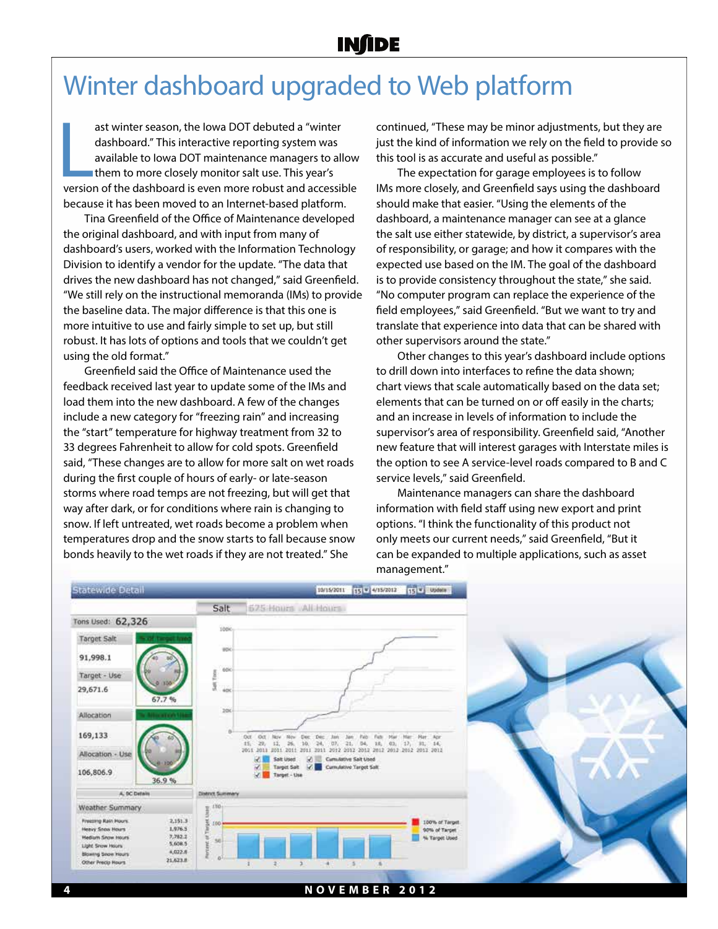# Winter dashboard upgraded to Web platform

ast winter season, the lowa DOT debuted a "winter<br>dashboard." This interactive reporting system was<br>available to lowa DOT maintenance managers to allow<br>them to more closely monitor salt use. This year's<br>version of the dash ast winter season, the Iowa DOT debuted a "winter dashboard." This interactive reporting system was available to Iowa DOT maintenance managers to allow them to more closely monitor salt use. This year's because it has been moved to an Internet-based platform.

Tina Greenfield of the Office of Maintenance developed the original dashboard, and with input from many of dashboard's users, worked with the Information Technology Division to identify a vendor for the update. "The data that drives the new dashboard has not changed," said Greenfield. "We still rely on the instructional memoranda (IMs) to provide the baseline data. The major difference is that this one is more intuitive to use and fairly simple to set up, but still robust. It has lots of options and tools that we couldn't get using the old format."

Greenfield said the Office of Maintenance used the feedback received last year to update some of the IMs and load them into the new dashboard. A few of the changes include a new category for "freezing rain" and increasing the "start" temperature for highway treatment from 32 to 33 degrees Fahrenheit to allow for cold spots. Greenfield said, "These changes are to allow for more salt on wet roads during the first couple of hours of early- or late-season storms where road temps are not freezing, but will get that way after dark, or for conditions where rain is changing to snow. If left untreated, wet roads become a problem when temperatures drop and the snow starts to fall because snow bonds heavily to the wet roads if they are not treated." She

continued, "These may be minor adjustments, but they are just the kind of information we rely on the field to provide so this tool is as accurate and useful as possible."

The expectation for garage employees is to follow IMs more closely, and Greenfield says using the dashboard should make that easier. "Using the elements of the dashboard, a maintenance manager can see at a glance the salt use either statewide, by district, a supervisor's area of responsibility, or garage; and how it compares with the expected use based on the IM. The goal of the dashboard is to provide consistency throughout the state," she said. "No computer program can replace the experience of the field employees," said Greenfield. "But we want to try and translate that experience into data that can be shared with other supervisors around the state."

Other changes to this year's dashboard include options to drill down into interfaces to refine the data shown; chart views that scale automatically based on the data set; elements that can be turned on or off easily in the charts; and an increase in levels of information to include the supervisor's area of responsibility. Greenfield said, "Another new feature that will interest garages with Interstate miles is the option to see A service-level roads compared to B and C service levels," said Greenfield.

Maintenance managers can share the dashboard information with field staff using new export and print options. "I think the functionality of this product not only meets our current needs," said Greenfield, "But it can be expanded to multiple applications, such as asset management."

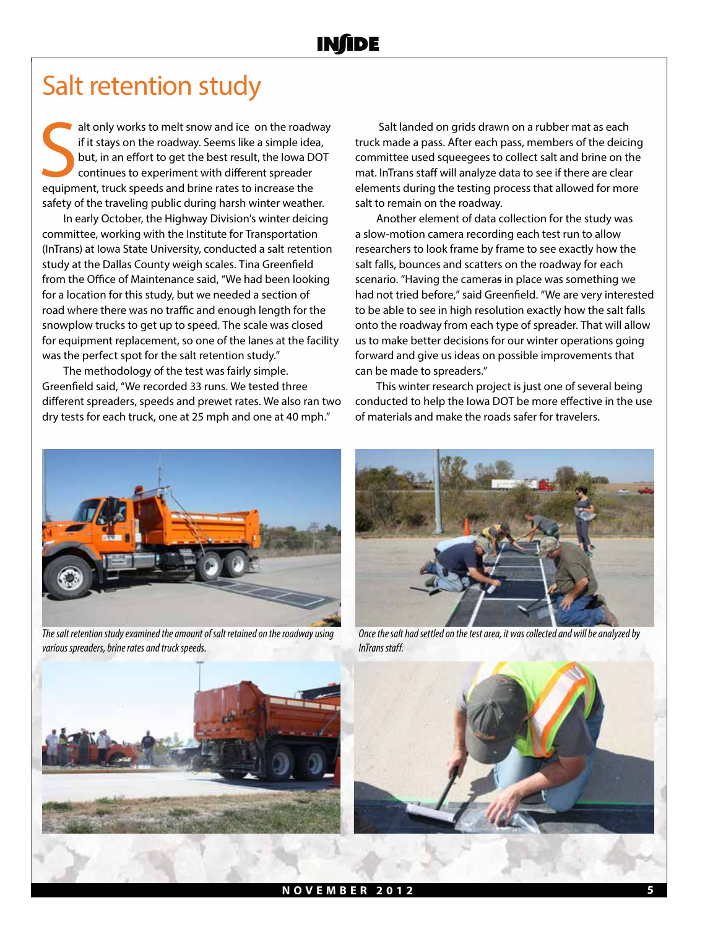### Salt retention study

alt only works to melt snow and ice on the road<br>
if it stays on the roadway. Seems like a simple ide<br>
but, in an effort to get the best result, the lowa D<br>
continues to experiment with different spreader<br>
equipment, truck alt only works to melt snow and ice on the roadway if it stays on the roadway. Seems like a simple idea, but, in an effort to get the best result, the Iowa DOT continues to experiment with different spreader safety of the traveling public during harsh winter weather.

In early October, the Highway Division's winter deicing committee, working with the Institute for Transportation (InTrans) at Iowa State University, conducted a salt retention study at the Dallas County weigh scales. Tina Greenfield from the Office of Maintenance said, "We had been looking for a location for this study, but we needed a section of road where there was no traffic and enough length for the snowplow trucks to get up to speed. The scale was closed for equipment replacement, so one of the lanes at the facility was the perfect spot for the salt retention study."

The methodology of the test was fairly simple. Greenfield said, "We recorded 33 runs. We tested three different spreaders, speeds and prewet rates. We also ran two dry tests for each truck, one at 25 mph and one at 40 mph."

 Salt landed on grids drawn on a rubber mat as each truck made a pass. After each pass, members of the deicing committee used squeegees to collect salt and brine on the mat. InTrans staff will analyze data to see if there are clear elements during the testing process that allowed for more salt to remain on the roadway.

Another element of data collection for the study was a slow-motion camera recording each test run to allow researchers to look frame by frame to see exactly how the salt falls, bounces and scatters on the roadway for each scenario. "Having the cameras in place was something we had not tried before," said Greenfield. "We are very interested to be able to see in high resolution exactly how the salt falls onto the roadway from each type of spreader. That will allow us to make better decisions for our winter operations going forward and give us ideas on possible improvements that can be made to spreaders."

This winter research project is just one of several being conducted to help the Iowa DOT be more effective in the use of materials and make the roads safer for travelers.



*The salt retention study examined the amount of salt retained on the roadway using various spreaders, brine rates and truck speeds.* 



*Once the salt had settled on the test area, it was collected and will be analyzed by InTrans staff.* 





**NOVEMBER 2012 5**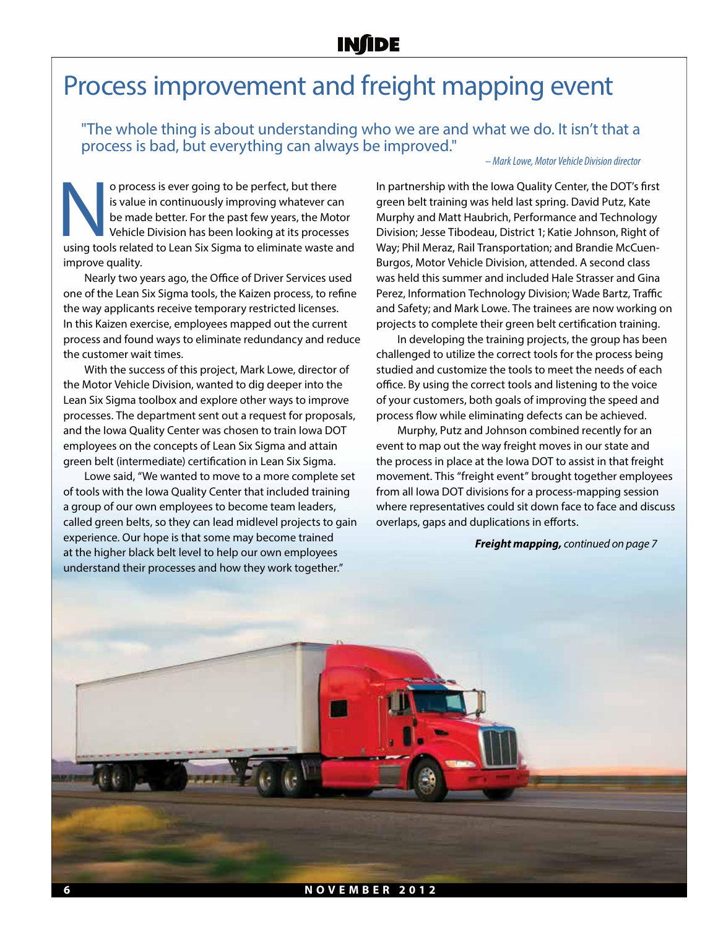## Process improvement and freight mapping event

"The whole thing is about understanding who we are and what we do. It isn't that a process is bad, but everything can always be improved."

#### *– Mark Lowe, Motor Vehicle Division director*

O process is ever going to be perfect, but there is value in continuously improving whatever can be made better. For the past few years, the Motor Vehicle Division has been looking at its processes using tools related to L is value in continuously improving whatever can be made better. For the past few years, the Motor Vehicle Division has been looking at its processes improve quality.

Nearly two years ago, the Office of Driver Services used one of the Lean Six Sigma tools, the Kaizen process, to refine the way applicants receive temporary restricted licenses. In this Kaizen exercise, employees mapped out the current process and found ways to eliminate redundancy and reduce the customer wait times.

With the success of this project, Mark Lowe, director of the Motor Vehicle Division, wanted to dig deeper into the Lean Six Sigma toolbox and explore other ways to improve processes. The department sent out a request for proposals, and the Iowa Quality Center was chosen to train Iowa DOT employees on the concepts of Lean Six Sigma and attain green belt (intermediate) certification in Lean Six Sigma.

Lowe said, "We wanted to move to a more complete set of tools with the Iowa Quality Center that included training a group of our own employees to become team leaders, called green belts, so they can lead midlevel projects to gain experience. Our hope is that some may become trained at the higher black belt level to help our own employees understand their processes and how they work together."

In partnership with the Iowa Quality Center, the DOT's first green belt training was held last spring. David Putz, Kate Murphy and Matt Haubrich, Performance and Technology Division; Jesse Tibodeau, District 1; Katie Johnson, Right of Way; Phil Meraz, Rail Transportation; and Brandie McCuen-Burgos, Motor Vehicle Division, attended. A second class was held this summer and included Hale Strasser and Gina Perez, Information Technology Division; Wade Bartz, Traffic and Safety; and Mark Lowe. The trainees are now working on projects to complete their green belt certification training.

In developing the training projects, the group has been challenged to utilize the correct tools for the process being studied and customize the tools to meet the needs of each office. By using the correct tools and listening to the voice of your customers, both goals of improving the speed and process flow while eliminating defects can be achieved.

Murphy, Putz and Johnson combined recently for an event to map out the way freight moves in our state and the process in place at the Iowa DOT to assist in that freight movement. This "freight event" brought together employees from all Iowa DOT divisions for a process-mapping session where representatives could sit down face to face and discuss overlaps, gaps and duplications in efforts.

#### *Freight mapping, continued on page 7*

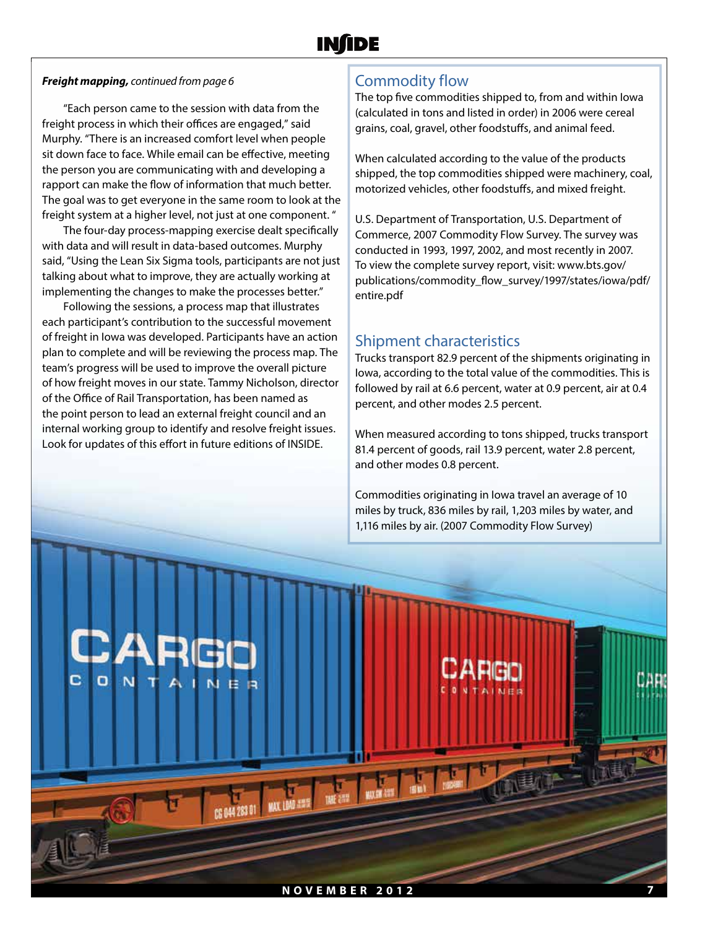#### *Freight mapping, continued from page 6*

"Each person came to the session with data from the freight process in which their offices are engaged," said Murphy. "There is an increased comfort level when people sit down face to face. While email can be effective, meeting the person you are communicating with and developing a rapport can make the flow of information that much better. The goal was to get everyone in the same room to look at the freight system at a higher level, not just at one component. "

The four-day process-mapping exercise dealt specifically with data and will result in data-based outcomes. Murphy said, "Using the Lean Six Sigma tools, participants are not just talking about what to improve, they are actually working at implementing the changes to make the processes better."

Following the sessions, a process map that illustrates each participant's contribution to the successful movement of freight in Iowa was developed. Participants have an action plan to complete and will be reviewing the process map. The team's progress will be used to improve the overall picture of how freight moves in our state. Tammy Nicholson, director of the Office of Rail Transportation, has been named as the point person to lead an external freight council and an internal working group to identify and resolve freight issues. Look for updates of this effort in future editions of INSIDE.

### Commodity flow

The top five commodities shipped to, from and within Iowa (calculated in tons and listed in order) in 2006 were cereal grains, coal, gravel, other foodstuffs, and animal feed.

When calculated according to the value of the products shipped, the top commodities shipped were machinery, coal, motorized vehicles, other foodstuffs, and mixed freight.

U.S. Department of Transportation, U.S. Department of Commerce, 2007 Commodity Flow Survey. The survey was conducted in 1993, 1997, 2002, and most recently in 2007. To view the complete survey report, visit: www.bts.gov/ publications/commodity\_flow\_survey/1997/states/iowa/pdf/ entire.pdf

### Shipment characteristics

Trucks transport 82.9 percent of the shipments originating in Iowa, according to the total value of the commodities. This is followed by rail at 6.6 percent, water at 0.9 percent, air at 0.4 percent, and other modes 2.5 percent.

When measured according to tons shipped, trucks transport 81.4 percent of goods, rail 13.9 percent, water 2.8 percent, and other modes 0.8 percent.

Commodities originating in Iowa travel an average of 10 miles by truck, 836 miles by rail, 1,203 miles by water, and 1,116 miles by air. (2007 Commodity Flow Survey)

c **NOVEMBER 2012 7**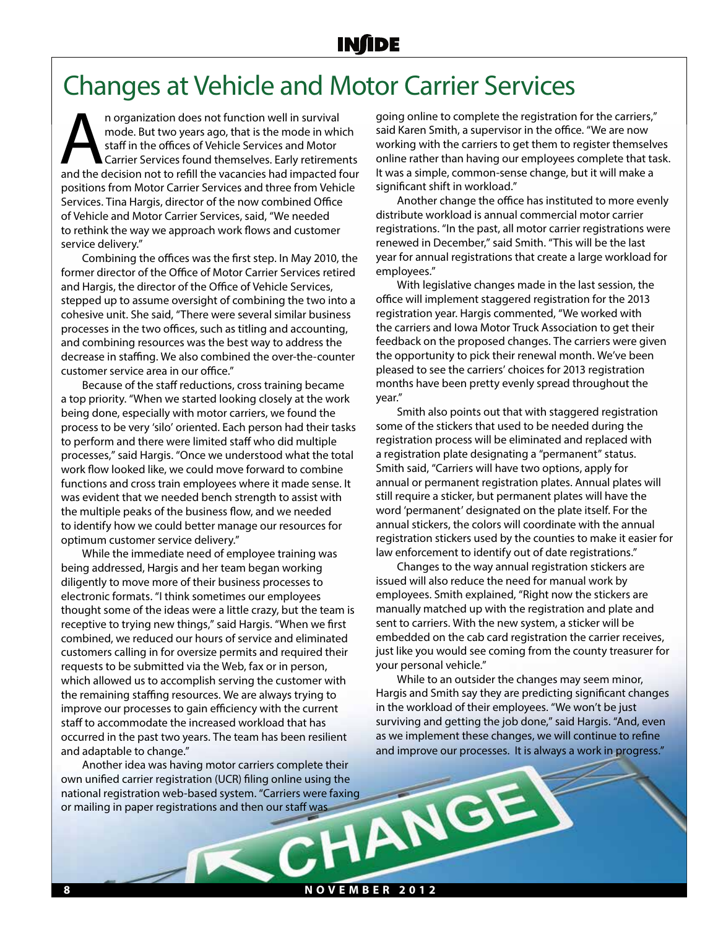## Changes at Vehicle and Motor Carrier Services

n organization does not function well in survival<br>
mode. But two years ago, that is the mode in which<br>
staff in the offices of Vehicle Services and Motor<br>
Carrier Services found themselves. Early retirements<br>
and the decis mode. But two years ago, that is the mode in which staff in the offices of Vehicle Services and Motor Carrier Services found themselves. Early retirements positions from Motor Carrier Services and three from Vehicle Services. Tina Hargis, director of the now combined Office of Vehicle and Motor Carrier Services, said, "We needed to rethink the way we approach work flows and customer service delivery."

Combining the offices was the first step. In May 2010, the former director of the Office of Motor Carrier Services retired and Hargis, the director of the Office of Vehicle Services, stepped up to assume oversight of combining the two into a cohesive unit. She said, "There were several similar business processes in the two offices, such as titling and accounting, and combining resources was the best way to address the decrease in staffing. We also combined the over-the-counter customer service area in our office."

Because of the staff reductions, cross training became a top priority. "When we started looking closely at the work being done, especially with motor carriers, we found the process to be very 'silo' oriented. Each person had their tasks to perform and there were limited staff who did multiple processes," said Hargis. "Once we understood what the total work flow looked like, we could move forward to combine functions and cross train employees where it made sense. It was evident that we needed bench strength to assist with the multiple peaks of the business flow, and we needed to identify how we could better manage our resources for optimum customer service delivery."

While the immediate need of employee training was being addressed, Hargis and her team began working diligently to move more of their business processes to electronic formats. "I think sometimes our employees thought some of the ideas were a little crazy, but the team is receptive to trying new things," said Hargis. "When we first combined, we reduced our hours of service and eliminated customers calling in for oversize permits and required their requests to be submitted via the Web, fax or in person, which allowed us to accomplish serving the customer with the remaining staffing resources. We are always trying to improve our processes to gain efficiency with the current staff to accommodate the increased workload that has occurred in the past two years. The team has been resilient and adaptable to change."

Another idea was having motor carriers complete their own unified carrier registration (UCR) filing online using the national registration web-based system. "Carriers were faxing<br>or mailing in paper registrations and then our staff was<br>and the system of the system of the system of the system of the system of the system of the system. The or mailing in paper registrations and then our staff was

going online to complete the registration for the carriers," said Karen Smith, a supervisor in the office. "We are now working with the carriers to get them to register themselves online rather than having our employees complete that task. It was a simple, common-sense change, but it will make a significant shift in workload."

Another change the office has instituted to more evenly distribute workload is annual commercial motor carrier registrations. "In the past, all motor carrier registrations were renewed in December," said Smith. "This will be the last year for annual registrations that create a large workload for employees."

With legislative changes made in the last session, the office will implement staggered registration for the 2013 registration year. Hargis commented, "We worked with the carriers and Iowa Motor Truck Association to get their feedback on the proposed changes. The carriers were given the opportunity to pick their renewal month. We've been pleased to see the carriers' choices for 2013 registration months have been pretty evenly spread throughout the year."

Smith also points out that with staggered registration some of the stickers that used to be needed during the registration process will be eliminated and replaced with a registration plate designating a "permanent" status. Smith said, "Carriers will have two options, apply for annual or permanent registration plates. Annual plates will still require a sticker, but permanent plates will have the word 'permanent' designated on the plate itself. For the annual stickers, the colors will coordinate with the annual registration stickers used by the counties to make it easier for law enforcement to identify out of date registrations."

Changes to the way annual registration stickers are issued will also reduce the need for manual work by employees. Smith explained, "Right now the stickers are manually matched up with the registration and plate and sent to carriers. With the new system, a sticker will be embedded on the cab card registration the carrier receives, just like you would see coming from the county treasurer for your personal vehicle."

While to an outsider the changes may seem minor, Hargis and Smith say they are predicting significant changes in the workload of their employees. "We won't be just surviving and getting the job done," said Hargis. "And, even as we implement these changes, we will continue to refine and improve our processes. It is always a work in progress."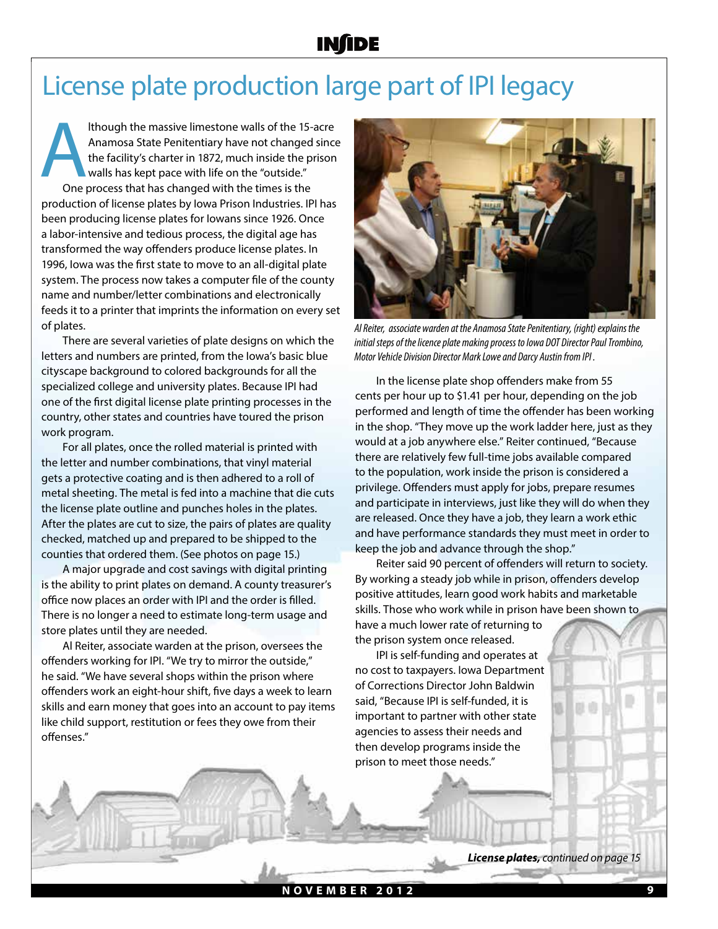## License plate production large part of IPI legacy

Ithough the massive limestone walls of the 15-acre<br>Anamosa State Penitentiary have not changed since<br>the facility's charter in 1872, much inside the prison<br>walls has kept pace with life on the "outside."<br>One process that h Anamosa State Penitentiary have not changed since the facility's charter in 1872, much inside the prison walls has kept pace with life on the "outside." One process that has changed with the times is the production of license plates by Iowa Prison Industries. IPI has been producing license plates for Iowans since 1926. Once a labor-intensive and tedious process, the digital age has transformed the way offenders produce license plates. In 1996, Iowa was the first state to move to an all-digital plate system. The process now takes a computer file of the county name and number/letter combinations and electronically feeds it to a printer that imprints the information on every set of plates.

There are several varieties of plate designs on which the letters and numbers are printed, from the Iowa's basic blue cityscape background to colored backgrounds for all the specialized college and university plates. Because IPI had one of the first digital license plate printing processes in the country, other states and countries have toured the prison work program.

For all plates, once the rolled material is printed with the letter and number combinations, that vinyl material gets a protective coating and is then adhered to a roll of metal sheeting. The metal is fed into a machine that die cuts the license plate outline and punches holes in the plates. After the plates are cut to size, the pairs of plates are quality checked, matched up and prepared to be shipped to the counties that ordered them. (See photos on page 15.)

A major upgrade and cost savings with digital printing is the ability to print plates on demand. A county treasurer's office now places an order with IPI and the order is filled. There is no longer a need to estimate long-term usage and store plates until they are needed.

Al Reiter, associate warden at the prison, oversees the offenders working for IPI. "We try to mirror the outside," he said. "We have several shops within the prison where offenders work an eight-hour shift, five days a week to learn skills and earn money that goes into an account to pay items like child support, restitution or fees they owe from their offenses."



*Al Reiter, associate warden at the Anamosa State Penitentiary, (right) explains the initial steps of the licence plate making process to Iowa DOT Director Paul Trombino, Motor Vehicle Division Director Mark Lowe and Darcy Austin from IPI .*

In the license plate shop offenders make from 55 cents per hour up to \$1.41 per hour, depending on the job performed and length of time the offender has been working in the shop. "They move up the work ladder here, just as they would at a job anywhere else." Reiter continued, "Because there are relatively few full-time jobs available compared to the population, work inside the prison is considered a privilege. Offenders must apply for jobs, prepare resumes and participate in interviews, just like they will do when they are released. Once they have a job, they learn a work ethic and have performance standards they must meet in order to keep the job and advance through the shop."

Reiter said 90 percent of offenders will return to society. By working a steady job while in prison, offenders develop positive attitudes, learn good work habits and marketable skills. Those who work while in prison have been shown to

have a much lower rate of returning to the prison system once released.

IPI is self-funding and operates at no cost to taxpayers. Iowa Department of Corrections Director John Baldwin said, "Because IPI is self-funded, it is important to partner with other state agencies to assess their needs and then develop programs inside the prison to meet those needs."

*License plates, continued on page 15*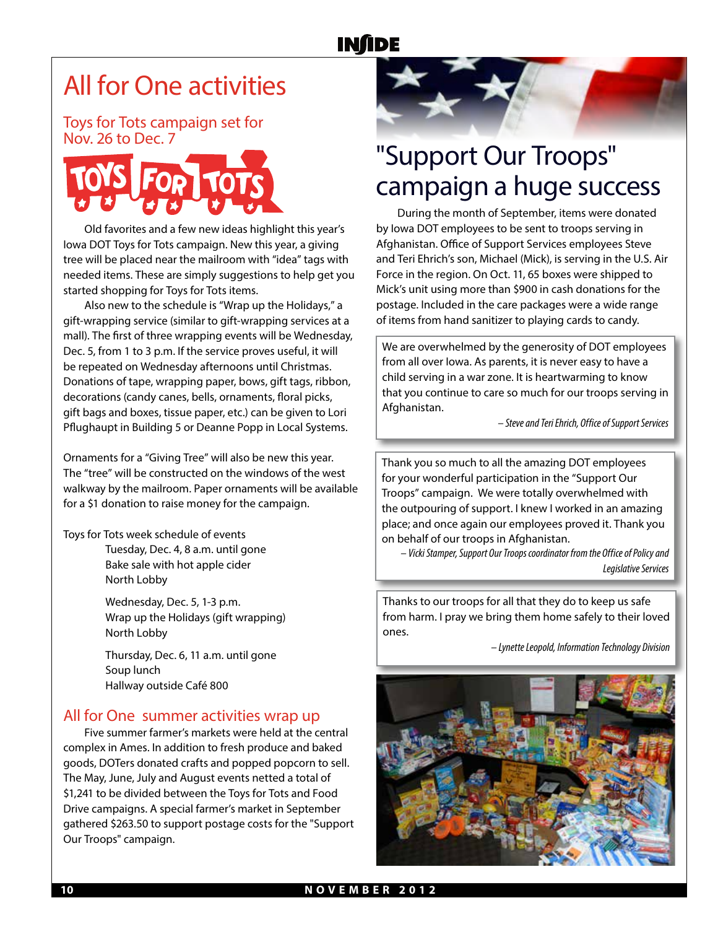# All for One activities

Toys for Tots campaign set for Nov. 26 to Dec. 7



Old favorites and a few new ideas highlight this year's Iowa DOT Toys for Tots campaign. New this year, a giving tree will be placed near the mailroom with "idea" tags with needed items. These are simply suggestions to help get you started shopping for Toys for Tots items.

Also new to the schedule is "Wrap up the Holidays," a gift-wrapping service (similar to gift-wrapping services at a mall). The first of three wrapping events will be Wednesday, Dec. 5, from 1 to 3 p.m. If the service proves useful, it will be repeated on Wednesday afternoons until Christmas. Donations of tape, wrapping paper, bows, gift tags, ribbon, decorations (candy canes, bells, ornaments, floral picks, gift bags and boxes, tissue paper, etc.) can be given to Lori Pflughaupt in Building 5 or Deanne Popp in Local Systems.

Ornaments for a "Giving Tree" will also be new this year. The "tree" will be constructed on the windows of the west walkway by the mailroom. Paper ornaments will be available for a \$1 donation to raise money for the campaign.

Toys for Tots week schedule of events Tuesday, Dec. 4, 8 a.m. until gone Bake sale with hot apple cider North Lobby

> Wednesday, Dec. 5, 1-3 p.m. Wrap up the Holidays (gift wrapping) North Lobby

Thursday, Dec. 6, 11 a.m. until gone Soup lunch Hallway outside Café 800

#### All for One summer activities wrap up

Five summer farmer's markets were held at the central complex in Ames. In addition to fresh produce and baked goods, DOTers donated crafts and popped popcorn to sell. The May, June, July and August events netted a total of \$1,241 to be divided between the Toys for Tots and Food Drive campaigns. A special farmer's market in September gathered \$263.50 to support postage costs for the "Support Our Troops" campaign.



# "Support Our Troops" campaign a huge success

During the month of September, items were donated by Iowa DOT employees to be sent to troops serving in Afghanistan. Office of Support Services employees Steve and Teri Ehrich's son, Michael (Mick), is serving in the U.S. Air Force in the region. On Oct. 11, 65 boxes were shipped to Mick's unit using more than \$900 in cash donations for the postage. Included in the care packages were a wide range of items from hand sanitizer to playing cards to candy.

We are overwhelmed by the generosity of DOT employees from all over Iowa. As parents, it is never easy to have a child serving in a war zone. It is heartwarming to know that you continue to care so much for our troops serving in Afghanistan.

*– Steve and Teri Ehrich, Office of Support Services*

Thank you so much to all the amazing DOT employees for your wonderful participation in the "Support Our Troops" campaign. We were totally overwhelmed with the outpouring of support. I knew I worked in an amazing place; and once again our employees proved it. Thank you on behalf of our troops in Afghanistan.

*– Vicki Stamper, Support Our Troops coordinator from the Office of Policy and Legislative Services*

Thanks to our troops for all that they do to keep us safe from harm. I pray we bring them home safely to their loved ones.

*– Lynette Leopold, Information Technology Division*

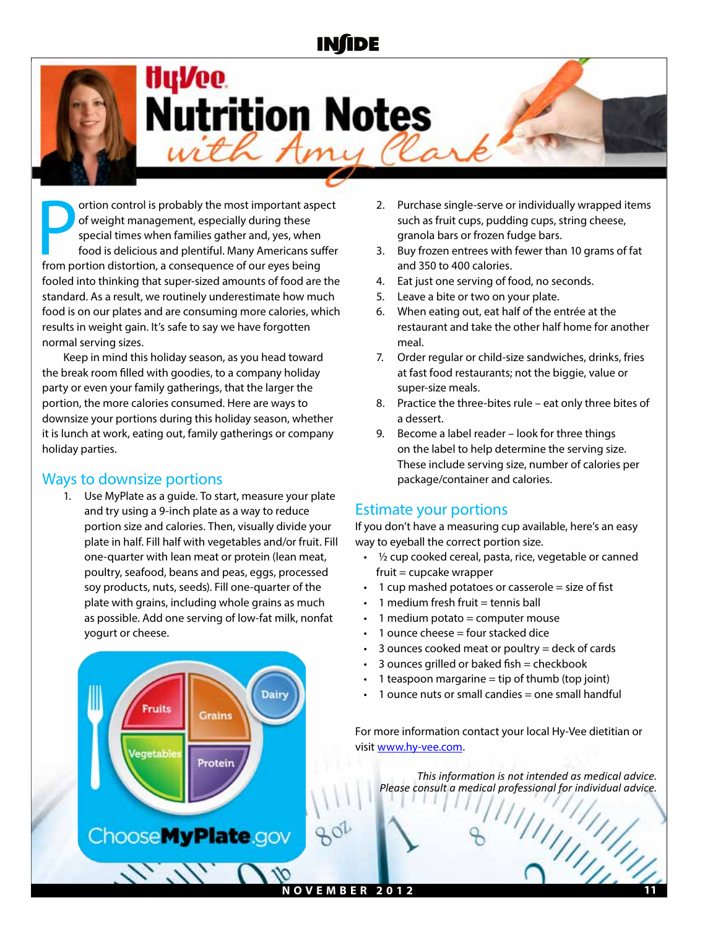

# HyVee. **Nutrition Notes** with Amy

ortion control is probably the most important aspection of weight management, especially during these special times when families gather and, yes, when food is delicious and plentiful. Many Americans surfrom portion distor ortion control is probably the most important aspect of weight management, especially during these special times when families gather and, yes, when food is delicious and plentiful. Many Americans suffer fooled into thinking that super-sized amounts of food are the standard. As a result, we routinely underestimate how much food is on our plates and are consuming more calories, which results in weight gain. It's safe to say we have forgotten normal serving sizes.

Keep in mind this holiday season, as you head toward the break room filled with goodies, to a company holiday party or even your family gatherings, that the larger the portion, the more calories consumed. Here are ways to downsize your portions during this holiday season, whether it is lunch at work, eating out, family gatherings or company holiday parties.

### Ways to downsize portions

**Fruits** 

1. Use MyPlate as a guide. To start, measure your plate and try using a 9-inch plate as a way to reduce portion size and calories. Then, visually divide your plate in half. Fill half with vegetables and/or fruit. Fill one-quarter with lean meat or protein (lean meat, poultry, seafood, beans and peas, eggs, processed soy products, nuts, seeds). Fill one-quarter of the plate with grains, including whole grains as much as possible. Add one serving of low-fat milk, nonfat yogurt or cheese.



- 3. Buy frozen entrees with fewer than 10 grams of fat and 350 to 400 calories.
- 4. Eat just one serving of food, no seconds.
- 5. Leave a bite or two on your plate.
- 6. When eating out, eat half of the entrée at the restaurant and take the other half home for another meal.
- 7. Order regular or child-size sandwiches, drinks, fries at fast food restaurants; not the biggie, value or super-size meals.
- 8. Practice the three-bites rule eat only three bites of a dessert.
- 9. Become a label reader look for three things on the label to help determine the serving size. These include serving size, number of calories per package/container and calories.

#### Estimate your portions

If you don't have a measuring cup available, here's an easy way to eyeball the correct portion size.

- $\cdot$  1/2 cup cooked cereal, pasta, rice, vegetable or canned fruit = cupcake wrapper
- 1 cup mashed potatoes or casserole  $=$  size of fist
- 1 medium fresh fruit  $=$  tennis ball
- $1$  medium potato = computer mouse
- 1 ounce cheese  $=$  four stacked dice
- 3 ounces cooked meat or poultry  $=$  deck of cards
- $3$  ounces grilled or baked fish = checkbook
- 1 teaspoon margarine  $=$  tip of thumb (top joint)
- 1 ounce nuts or small candies  $=$  one small handful

For more information contact your local Hy-Vee dietitian or visit www.hy-vee.com.

*This information is not intended as medical advice. Please consult a medical professional for individual advice.*



**Dairy**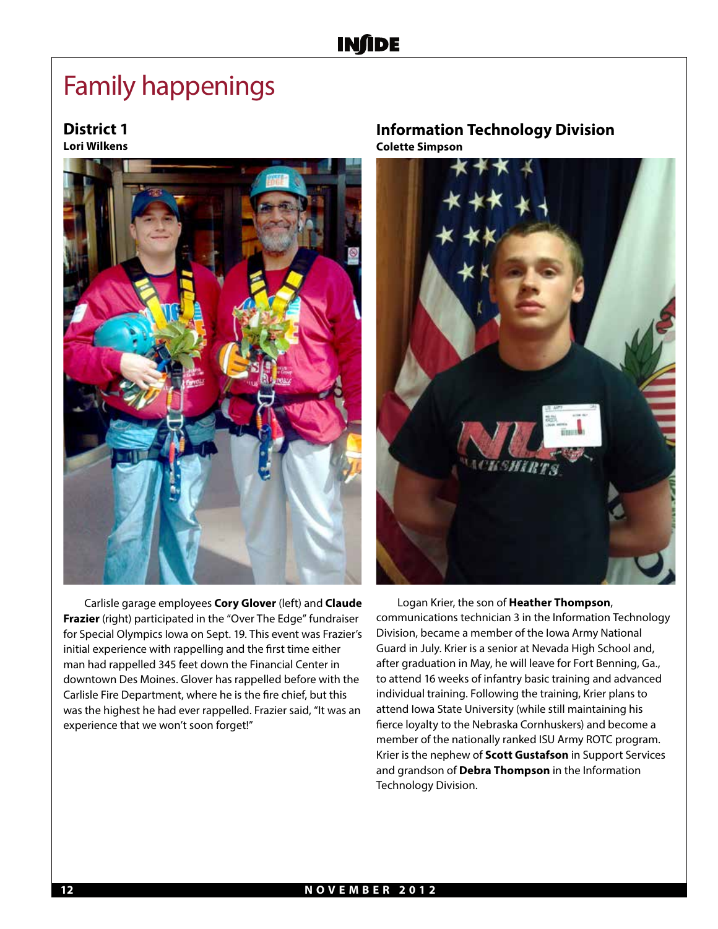## Family happenings

### **District 1**

**Lori Wilkens**



Carlisle garage employees **Cory Glover** (left) and **Claude Frazier** (right) participated in the "Over The Edge" fundraiser for Special Olympics Iowa on Sept. 19. This event was Frazier's initial experience with rappelling and the first time either man had rappelled 345 feet down the Financial Center in downtown Des Moines. Glover has rappelled before with the Carlisle Fire Department, where he is the fire chief, but this was the highest he had ever rappelled. Frazier said, "It was an experience that we won't soon forget!"

#### **Information Technology Division Colette Simpson**



Logan Krier, the son of **Heather Thompson**, communications technician 3 in the Information Technology Division, became a member of the Iowa Army National Guard in July. Krier is a senior at Nevada High School and, after graduation in May, he will leave for Fort Benning, Ga., to attend 16 weeks of infantry basic training and advanced individual training. Following the training, Krier plans to attend Iowa State University (while still maintaining his fierce loyalty to the Nebraska Cornhuskers) and become a member of the nationally ranked ISU Army ROTC program. Krier is the nephew of **Scott Gustafson** in Support Services and grandson of **Debra Thompson** in the Information Technology Division.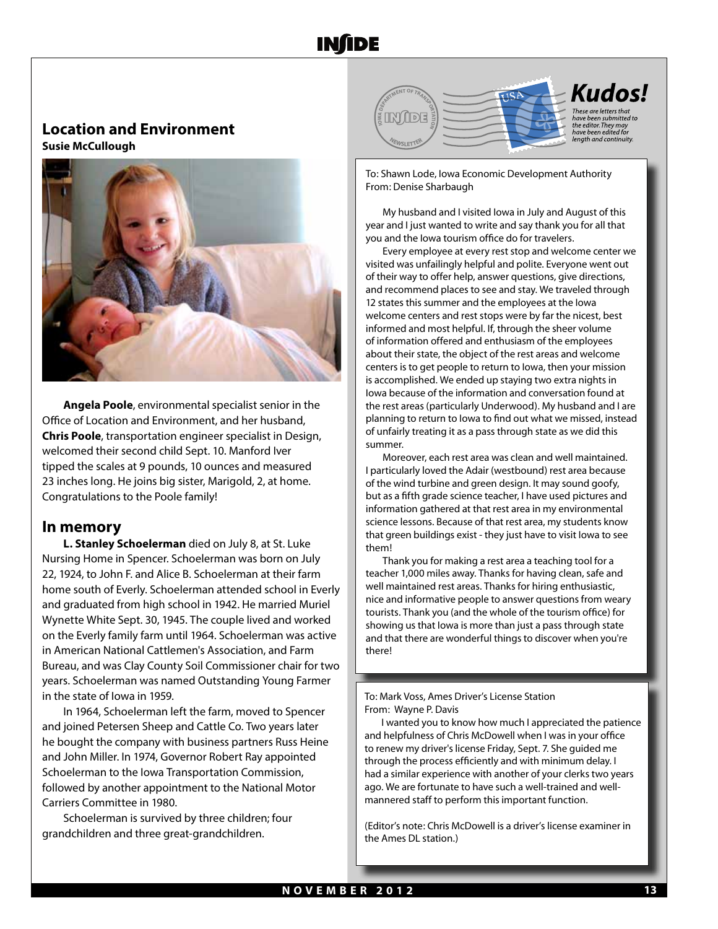#### **Location and Environment Susie McCullough**



**Angela Poole**, environmental specialist senior in the Office of Location and Environment, and her husband, **Chris Poole**, transportation engineer specialist in Design, welcomed their second child Sept. 10. Manford Iver tipped the scales at 9 pounds, 10 ounces and measured 23 inches long. He joins big sister, Marigold, 2, at home. Congratulations to the Poole family!

#### **In memory**

**L. Stanley Schoelerman** died on July 8, at St. Luke Nursing Home in Spencer. Schoelerman was born on July 22, 1924, to John F. and Alice B. Schoelerman at their farm home south of Everly. Schoelerman attended school in Everly and graduated from high school in 1942. He married Muriel Wynette White Sept. 30, 1945. The couple lived and worked on the Everly family farm until 1964. Schoelerman was active in American National Cattlemen's Association, and Farm Bureau, and was Clay County Soil Commissioner chair for two years. Schoelerman was named Outstanding Young Farmer in the state of Iowa in 1959.

In 1964, Schoelerman left the farm, moved to Spencer and joined Petersen Sheep and Cattle Co. Two years later he bought the company with business partners Russ Heine and John Miller. In 1974, Governor Robert Ray appointed Schoelerman to the Iowa Transportation Commission, followed by another appointment to the National Motor Carriers Committee in 1980.

Schoelerman is survived by three children; four grandchildren and three great-grandchildren.



To: Shawn Lode, Iowa Economic Development Authority From: Denise Sharbaugh

My husband and I visited Iowa in July and August of this year and I just wanted to write and say thank you for all that you and the Iowa tourism office do for travelers.

Every employee at every rest stop and welcome center we visited was unfailingly helpful and polite. Everyone went out of their way to offer help, answer questions, give directions, and recommend places to see and stay. We traveled through 12 states this summer and the employees at the Iowa welcome centers and rest stops were by far the nicest, best informed and most helpful. If, through the sheer volume of information offered and enthusiasm of the employees about their state, the object of the rest areas and welcome centers is to get people to return to Iowa, then your mission is accomplished. We ended up staying two extra nights in Iowa because of the information and conversation found at the rest areas (particularly Underwood). My husband and I are planning to return to Iowa to find out what we missed, instead of unfairly treating it as a pass through state as we did this summer.

Moreover, each rest area was clean and well maintained. I particularly loved the Adair (westbound) rest area because of the wind turbine and green design. It may sound goofy, but as a fifth grade science teacher, I have used pictures and information gathered at that rest area in my environmental science lessons. Because of that rest area, my students know that green buildings exist - they just have to visit Iowa to see them!

Thank you for making a rest area a teaching tool for a teacher 1,000 miles away. Thanks for having clean, safe and well maintained rest areas. Thanks for hiring enthusiastic, nice and informative people to answer questions from weary tourists. Thank you (and the whole of the tourism office) for showing us that Iowa is more than just a pass through state and that there are wonderful things to discover when you're there!

To: Mark Voss, Ames Driver's License Station From: Wayne P. Davis

I wanted you to know how much I appreciated the patience and helpfulness of Chris McDowell when I was in your office to renew my driver's license Friday, Sept. 7. She guided me through the process efficiently and with minimum delay. I had a similar experience with another of your clerks two years ago. We are fortunate to have such a well-trained and wellmannered staff to perform this important function.

(Editor's note: Chris McDowell is a driver's license examiner in the Ames DL station.)

Ī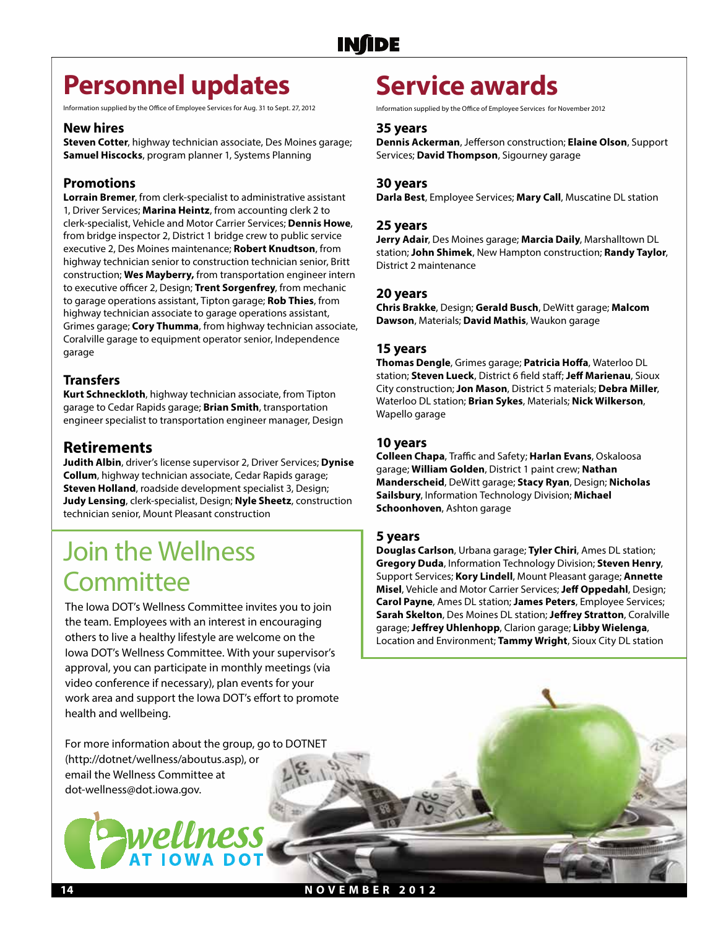## **Personnel updates**

Information supplied by the Office of Employee Services for Aug. 31 to Sept. 27, 2012

#### **New hires**

**Steven Cotter**, highway technician associate, Des Moines garage; **Samuel Hiscocks**, program planner 1, Systems Planning

#### **Promotions**

**Lorrain Bremer**, from clerk-specialist to administrative assistant 1, Driver Services; **Marina Heintz**, from accounting clerk 2 to clerk-specialist, Vehicle and Motor Carrier Services; **Dennis Howe**, from bridge inspector 2, District 1 bridge crew to public service executive 2, Des Moines maintenance; **Robert Knudtson**, from highway technician senior to construction technician senior, Britt construction; **Wes Mayberry,** from transportation engineer intern to executive officer 2, Design; **Trent Sorgenfrey**, from mechanic to garage operations assistant, Tipton garage; **Rob Thies**, from highway technician associate to garage operations assistant, Grimes garage; **Cory Thumma**, from highway technician associate, Coralville garage to equipment operator senior, Independence garage

#### **Transfers**

**Kurt Schneckloth**, highway technician associate, from Tipton garage to Cedar Rapids garage; **Brian Smith**, transportation engineer specialist to transportation engineer manager, Design

#### **Retirements**

**Judith Albin**, driver's license supervisor 2, Driver Services; **Dynise Collum**, highway technician associate, Cedar Rapids garage; **Steven Holland**, roadside development specialist 3, Design; **Judy Lensing**, clerk-specialist, Design; **Nyle Sheetz**, construction technician senior, Mount Pleasant construction

### Join the Wellness **Committee**

The Iowa DOT's Wellness Committee invites you to join the team. Employees with an interest in encouraging others to live a healthy lifestyle are welcome on the Iowa DOT's Wellness Committee. With your supervisor's approval, you can participate in monthly meetings (via video conference if necessary), plan events for your work area and support the Iowa DOT's effort to promote health and wellbeing.

For more information about the group, go to DOTNET (http://dotnet/wellness/aboutus.asp), or email the Wellness Committee at dot-wellness@dot.iowa.gov.



### **Service awards**

Information supplied by the Office of Employee Services for November 2012

#### **35 years**

**Dennis Ackerman**, Jefferson construction; **Elaine Olson**, Support Services; **David Thompson**, Sigourney garage

#### **30 years**

**Darla Best**, Employee Services; **Mary Call**, Muscatine DL station

#### **25 years**

**Jerry Adair**, Des Moines garage; **Marcia Daily**, Marshalltown DL station; **John Shimek**, New Hampton construction; **Randy Taylor**, District 2 maintenance

#### **20 years**

**Chris Brakke**, Design; **Gerald Busch**, DeWitt garage; **Malcom Dawson**, Materials; **David Mathis**, Waukon garage

#### **15 years**

**Thomas Dengle**, Grimes garage; **Patricia Hoffa**, Waterloo DL station; **Steven Lueck**, District 6 field staff; **Jeff Marienau**, Sioux City construction; **Jon Mason**, District 5 materials; **Debra Miller**, Waterloo DL station; **Brian Sykes**, Materials; **Nick Wilkerson**, Wapello garage

#### **10 years**

**Colleen Chapa**, Traffic and Safety; **Harlan Evans**, Oskaloosa garage; **William Golden**, District 1 paint crew; **Nathan Manderscheid**, DeWitt garage; **Stacy Ryan**, Design; **Nicholas Sailsbury**, Information Technology Division; **Michael Schoonhoven**, Ashton garage

#### **5 years**

**Douglas Carlson**, Urbana garage; **Tyler Chiri**, Ames DL station; **Gregory Duda**, Information Technology Division; **Steven Henry**, Support Services; **Kory Lindell**, Mount Pleasant garage; **Annette Misel**, Vehicle and Motor Carrier Services; **Jeff Oppedahl**, Design; **Carol Payne**, Ames DL station; **James Peters**, Employee Services; **Sarah Skelton**, Des Moines DL station; **Jeffrey Stratton**, Coralville garage; **Jeffrey Uhlenhopp**, Clarion garage; **Libby Wielenga**, Location and Environment; **Tammy Wright**, Sioux City DL station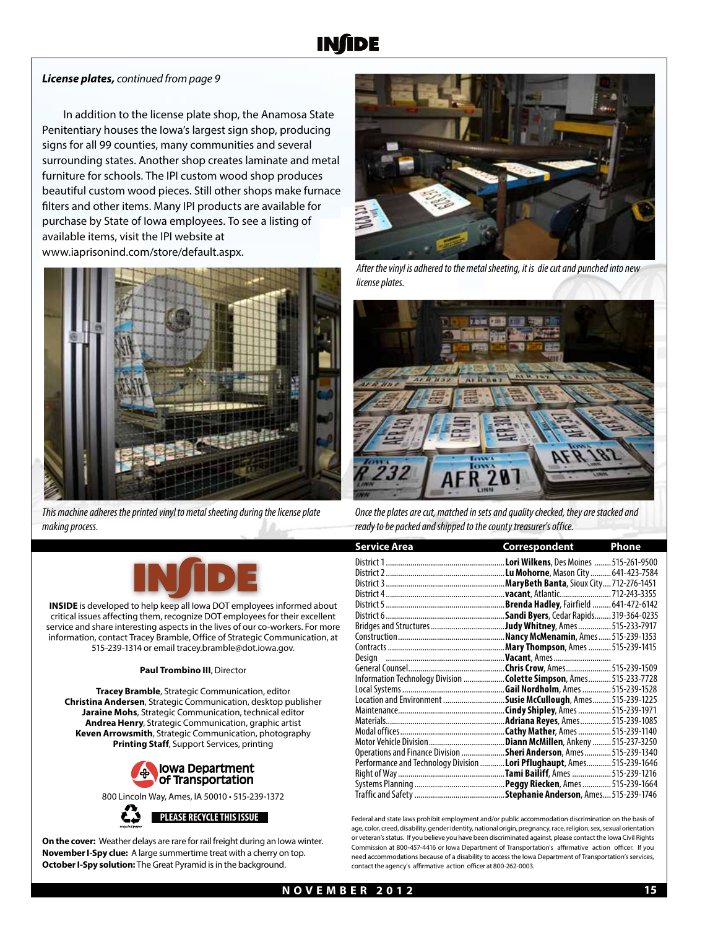#### *License plates, continued from page 9*

In addition to the license plate shop, the Anamosa State Penitentiary houses the Iowa's largest sign shop, producing signs for all 99 counties, many communities and several surrounding states. Another shop creates laminate and metal furniture for schools. The IPI custom wood shop produces beautiful custom wood pieces. Still other shops make furnace filters and other items. Many IPI products are available for purchase by State of Iowa employees. To see a listing of available items, visit the IPI website at www.iaprisonind.com/store/default.aspx.



*This machine adheres the printed vinyl to metal sheeting during the license plate making process.* 



**INSIDE** is developed to help keep all Iowa DOT employees informed about critical issues affecting them, recognize DOT employees for their excellent service and share interesting aspects in the lives of our co-workers. For more information, contact Tracey Bramble, Office of Strategic Communication, at 515-239-1314 or email tracey.bramble@dot.iowa.gov.

#### **Paul Trombino III**, Director

**Tracey Bramble**, Strategic Communication, editor **Christina Andersen**, Strategic Communication, desktop publisher **Jaraine Mohs**, Strategic Communication, technical editor **Andrea Henry**, Strategic Communication, graphic artist **Keven Arrowsmith**, Strategic Communication, photography **Printing Staff**, Support Services, printing



800 Lincoln Way, Ames, IA 50010 • 515-239-1372

**On the cover:** Weather delays are rare for rail freight during an Iowa winter. **November I-Spy clue:** A large summertime treat with a cherry on top. **October I-Spy solution:** The Great Pyramid is in the background.



*After the vinyl is adhered to the metal sheeting, it is die cut and punched into new license plates.*



*Once the plates are cut, matched in sets and quality checked, they are stacked and ready to be packed and shipped to the county treasurer's office.* 

| <b>Service Area</b>                                                    | Correspondent                           | <u>Phone</u> |
|------------------------------------------------------------------------|-----------------------------------------|--------------|
|                                                                        |                                         |              |
|                                                                        |                                         |              |
|                                                                        |                                         |              |
|                                                                        |                                         |              |
|                                                                        | .Brenda Hadley, Fairfield  641-472-6142 |              |
|                                                                        | Sandi Byers, Cedar Rapids 319-364-0235. |              |
|                                                                        |                                         |              |
|                                                                        |                                         |              |
|                                                                        | Mary Thompson, Ames  515-239-1415.      |              |
|                                                                        |                                         |              |
|                                                                        |                                         |              |
| Information Technology Division Colette Simpson, Ames515-233-7728      |                                         |              |
|                                                                        |                                         |              |
| Location and Environment                                               | Susie McCullough, Ames515-239-1225.     |              |
|                                                                        |                                         |              |
|                                                                        |                                         |              |
|                                                                        |                                         |              |
|                                                                        |                                         |              |
| Operations and Finance Division Sheri Anderson, Ames 515-239-1340      |                                         |              |
| Performance and Technology Division  Lori Pflughaupt, Ames515-239-1646 |                                         |              |
|                                                                        |                                         |              |
|                                                                        |                                         |              |
|                                                                        | Stephanie Anderson, Ames 515-239-1746   |              |

**PLEASE RECYCLE THIS ISSUE** Federal and state laws prohibit employment and/or public accommodation discrimination on the basis of age, color, creed, disability, gender identity, national origin, pregnancy, race, religion, sex, sexual orientation or veteran's status. If you believe you have been discriminated against, please contact the Iowa Civil Rights Commission at 800-457-4416 or Iowa Department of Transportation's affirmative action officer. If you need accommodations because of a disability to access the Iowa Department of Transportation's services, contact the agency's affirmative action officer at 800-262-0003.

**NOVEMBER 2012 15**